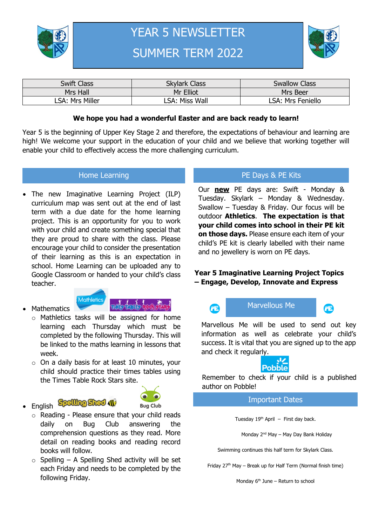



| <b>Swift Class</b> | <b>Skylark Class</b> | <b>Swallow Class</b> |
|--------------------|----------------------|----------------------|
| Mrs Hall           | Mr Elliot            | Mrs Beer             |
| LSA: Mrs Miller    | LSA: Miss Wall       | LSA: Mrs Feniello    |

### **We hope you had a wonderful Easter and are back ready to learn!**

Year 5 is the beginning of Upper Key Stage 2 and therefore, the expectations of behaviour and learning are high! We welcome your support in the education of your child and we believe that working together will enable your child to effectively access the more challenging curriculum.

### Home Learning

 The new Imaginative Learning Project (ILP) curriculum map was sent out at the end of last term with a due date for the home learning project. This is an opportunity for you to work with your child and create something special that they are proud to share with the class. Please encourage your child to consider the presentation of their learning as this is an expectation in school. Home Learning can be uploaded any to Google Classroom or handed to your child's class teacher.

# Mathletic



- o Mathletics tasks will be assigned for home learning each Thursday which must be completed by the following Thursday. This will be linked to the maths learning in lessons that week.
- $\circ$  On a daily basis for at least 10 minutes, your child should practice their times tables using the Times Table Rock Stars site.
- · English Spelling Sheet (

Mathematics



- o Reading Please ensure that your child reads daily on Bug Club answering the comprehension questions as they read. More detail on reading books and reading record books will follow.
- $\circ$  Spelling A Spelling Shed activity will be set each Friday and needs to be completed by the following Friday.

## PE Days & PE Kits

Our **new** PE days are: Swift - Monday & Tuesday. Skylark – Monday & Wednesday. Swallow – Tuesday & Friday. Our focus will be outdoor **Athletics**. **The expectation is that your child comes into school in their PE kit on those days.** Please ensure each item of your child's PE kit is clearly labelled with their name and no jewellery is worn on PE days.

## **Year 5 Imaginative Learning Project Topics – Engage, Develop, Innovate and Express**



Marvellous Me will be used to send out key information as well as celebrate your child's success. It is vital that you are signed up to the app and check it regularly.



Remember to check if your child is a published author on Pobble!

#### Important Dates

Tuesday  $19<sup>th</sup>$  April – First day back.

Monday 2<sup>nd</sup> May – May Day Bank Holiday

Swimming continues this half term for Skylark Class.

Friday  $27<sup>th</sup>$  May – Break up for Half Term (Normal finish time)

Monday  $6<sup>th</sup>$  June – Return to school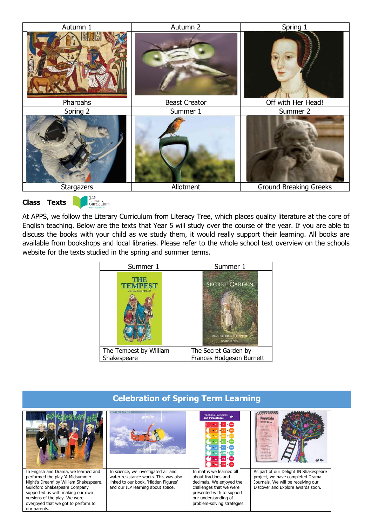

At APPS, we follow the Literary Curriculum from Literacy Tree, which places quality literature at the core of English teaching. Below are the texts that Year 5 will study over the course of the year. If you are able to discuss the books with your child as we study them, it would really support their learning. All books are available from bookshops and local libraries. Please refer to the whole school text overview on the schools website for the texts studied in the spring and summer terms.

| Summer 1                                              | Summer 1                                                                                                  |  |
|-------------------------------------------------------|-----------------------------------------------------------------------------------------------------------|--|
| THEID<br><b>TEMPEST</b><br><b>WILLIAM SHAKESPEARE</b> | The.<br><b>SECRET GARDEN</b><br><b>FRANCES HODGSON BURNI</b><br><b>Phoenical In</b><br><b>GRAHAM RUST</b> |  |
| The Tempest by William<br>Shakespeare                 | The Secret Garden by<br>Frances Hodgeson Burnett                                                          |  |

# **Celebration of Spring Term Learning**